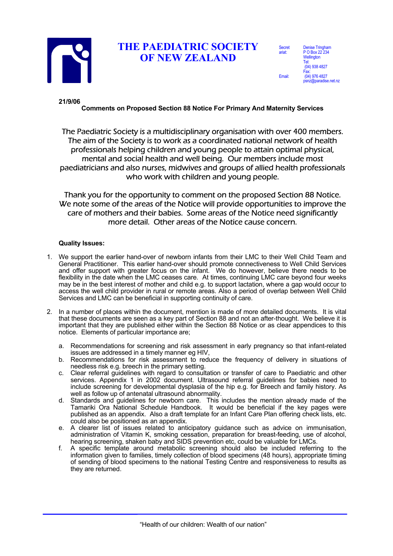

## **THE PAEDIATRIC SOCIETY OF NEW ZEALAND**

| <b>Secret</b><br>ariat: | <b>Denise Tringham</b><br>P O Box 22 234<br>Wellington |
|-------------------------|--------------------------------------------------------|
|                         | Tel:<br>(04) 938 4827                                  |
| Email:                  | Fax:<br>(04) 976 4827<br>psnz@paradise.net.nz          |

**21/9/06**

**Comments on Proposed Section 88 Notice For Primary And Maternity Services**

The Paediatric Society is a multidisciplinary organisation with over 400 members. The aim of the Society is to work as a coordinated national network of health professionals helping children and young people to attain optimal physical, mental and social health and well being. Our members include most paediatricians and also nurses, midwives and groups of allied health professionals who work with children and young people.

Thank you for the opportunity to comment on the proposed Section 88 Notice. We note some of the areas of the Notice will provide opportunities to improve the care of mothers and their babies. Some areas of the Notice need significantly more detail. Other areas of the Notice cause concern.

## **Quality Issues:**

- 1. We support the earlier hand-over of newborn infants from their LMC to their Well Child Team and General Practitioner. This earlier hand-over should promote connectiveness to Well Child Services and offer support with greater focus on the infant. We do however, believe there needs to be flexibility in the date when the LMC ceases care. At times, continuing LMC care beyond four weeks may be in the best interest of mother and child e.g. to support lactation, where a gap would occur to access the well child provider in rural or remote areas. Also a period of overlap between Well Child Services and LMC can be beneficial in supporting continuity of care.
- 2. In a number of places within the document, mention is made of more detailed documents. It is vital that these documents are seen as a key part of Section 88 and not an after-thought. We believe it is important that they are published either within the Section 88 Notice or as clear appendices to this notice. Elements of particular importance are;
	- a. Recommendations for screening and risk assessment in early pregnancy so that infant-related issues are addressed in a timely manner eg HIV,
	- b. Recommendations for risk assessment to reduce the frequency of delivery in situations of needless risk e.g. breech in the primary setting.
	- c. Clear referral guidelines with regard to consultation or transfer of care to Paediatric and other services. Appendix 1 in 2002 document. Ultrasound referral guidelines for babies need to include screening for developmental dysplasia of the hip e.g. for Breech and family history. As well as follow up of antenatal ultrasound abnormality.
	- d. Standards and guidelines for newborn care. This includes the mention already made of the Tamariki Ora National Schedule Handbook. It would be beneficial if the key pages were published as an appendix. Also a draft template for an Infant Care Plan offering check lists, etc. could also be positioned as an appendix.
	- e. A clearer list of issues related to anticipatory guidance such as advice on immunisation, administration of Vitamin K, smoking cessation, preparation for breast-feeding, use of alcohol, hearing screening, shaken baby and SIDS prevention etc, could be valuable for LMCs.
	- f. A specific template around metabolic screening should also be included referring to the information given to families, timely collection of blood specimens (48 hours), appropriate timing of sending of blood specimens to the national Testing Centre and responsiveness to results as they are returned.